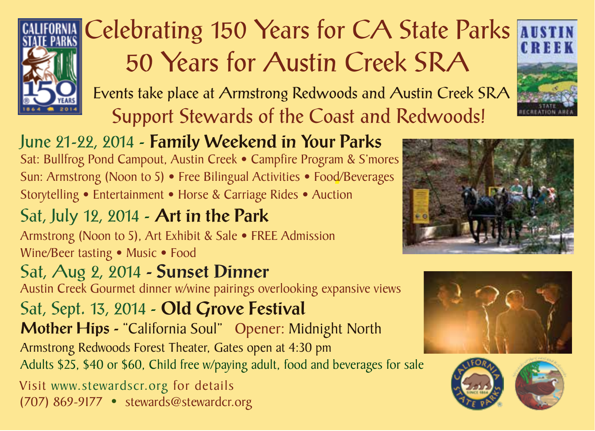

# Celebrating 150 Years for CA State Parks AUSTIN 50 Years for Austin Creek SRA

Events take place at Armstrong Redwoods and Austin Creek SRA Support Stewards of the Coast and Redwoods!



Sat: Bullfrog Pond Campout, Austin Creek • Campfire Program & S'mores Sun: Armstrong (Noon to 5) • Free Bilingual Activities • Food/Beverages Storytelling • Entertainment • Horse & Carriage Rides • Auction

## Sat, July 12, 2014 - Art in the Park

Armstrong (Noon to 5), Art Exhibit & Sale • FREE Admission Wine/Beer tasting • Music • Food

# Sat, Aug 2, 2014 - Sunset Dinner

Austin Creek Gourmet dinner w/wine pairings overlooking expansive views

Sat, Sept. 13, 2014 - Old Grove Festival

Mother Hips - "California Soul" Opener: Midnight North Armstrong Redwoods Forest Theater, Gates open at 4:30 pm

Adults \$25, \$40 or \$60, Child free w/paying adult, food and beverages for sale

Visit www.stewardscr.org for details (707) 869-9177 • stewards@stewardcr.org